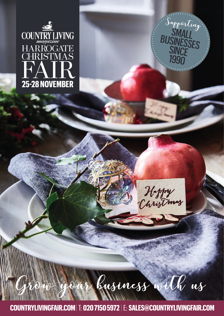



Happy<br>Christmas

Grow your business with us

 **COUNTRYLIVINGFAIR.COM** |T: **020 7150 5972** |E: **SALES@COUNTRYLIVINGFAIR.COM**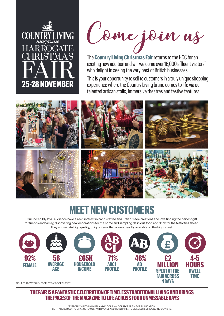



The **Country Living Christmas Fair**returns to the HCC for an exciting new addition and will welcome over 16,000 affluent visitors<sup>\*</sup> who delight in seeing the very best of British businesses.

This is your opportunity to sell to customers in a truly unique shopping experience where the Country Living brand comes to life via our talented artisan stalls, immersive theatres and festive features.



## **MEET NEW CUSTOMERS**

Our incredibly loyal audience have a keen interest in hand crafted and British made creations and love finding the perfect gift for friends and family, discovering new decorations for the home and sampling delicious food and drink for the festivities ahead. They appreciate high quality, unique items that are not readily available on the high-street.



FIGURES ABOVE TAKEN FROM 2019 VISITOR SURVEY

**THE FAIR IS A FANTASTIC CELEBRATION OF TIMELESS TRADITIONAL LIVING AND BRINGS THE PAGES OF THE MAGAZINE TO LIFE ACROSS FOUR UNMISSABLE DAYS**